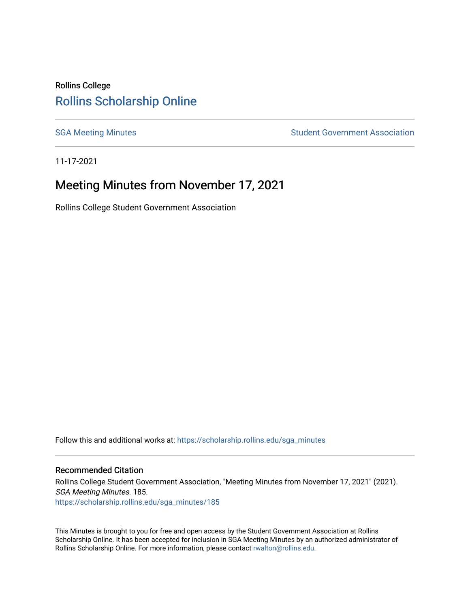## Rollins College [Rollins Scholarship Online](https://scholarship.rollins.edu/)

[SGA Meeting Minutes](https://scholarship.rollins.edu/sga_minutes) **SGA Meeting Minutes** SGA Meeting Minutes **STEER** Student Government Association

11-17-2021

# Meeting Minutes from November 17, 2021

Rollins College Student Government Association

Follow this and additional works at: [https://scholarship.rollins.edu/sga\\_minutes](https://scholarship.rollins.edu/sga_minutes?utm_source=scholarship.rollins.edu%2Fsga_minutes%2F185&utm_medium=PDF&utm_campaign=PDFCoverPages)

#### Recommended Citation

Rollins College Student Government Association, "Meeting Minutes from November 17, 2021" (2021). SGA Meeting Minutes. 185. [https://scholarship.rollins.edu/sga\\_minutes/185](https://scholarship.rollins.edu/sga_minutes/185?utm_source=scholarship.rollins.edu%2Fsga_minutes%2F185&utm_medium=PDF&utm_campaign=PDFCoverPages)

This Minutes is brought to you for free and open access by the Student Government Association at Rollins Scholarship Online. It has been accepted for inclusion in SGA Meeting Minutes by an authorized administrator of Rollins Scholarship Online. For more information, please contact [rwalton@rollins.edu](mailto:rwalton@rollins.edu).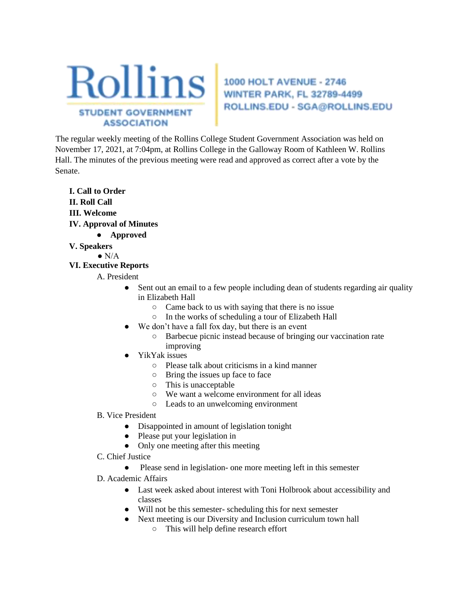

ROLLINS.EDU - SGA@ROLLINS.EDU

The regular weekly meeting of the Rollins College Student Government Association was held on November 17, 2021, at 7:04pm, at Rollins College in the Galloway Room of Kathleen W. Rollins Hall. The minutes of the previous meeting were read and approved as correct after a vote by the Senate.

**I. Call to Order II. Roll Call III. Welcome IV. Approval of Minutes** 

- **Approved**
- **V. Speakers**

 $\bullet$  N/A

## **VI. Executive Reports**

A. President

- Sent out an email to a few people including dean of students regarding air quality in Elizabeth Hall
	- Came back to us with saying that there is no issue
	- In the works of scheduling a tour of Elizabeth Hall
- We don't have a fall fox day, but there is an event
	- Barbecue picnic instead because of bringing our vaccination rate improving
- YikYak issues
	- Please talk about criticisms in a kind manner
	- Bring the issues up face to face
	- This is unacceptable
	- We want a welcome environment for all ideas
	- Leads to an unwelcoming environment
- B. Vice President
	- Disappointed in amount of legislation tonight
	- Please put your legislation in
	- Only one meeting after this meeting
- C. Chief Justice
	- Please send in legislation- one more meeting left in this semester
- D. Academic Affairs
	- Last week asked about interest with Toni Holbrook about accessibility and classes
	- Will not be this semester- scheduling this for next semester
	- Next meeting is our Diversity and Inclusion curriculum town hall
		- This will help define research effort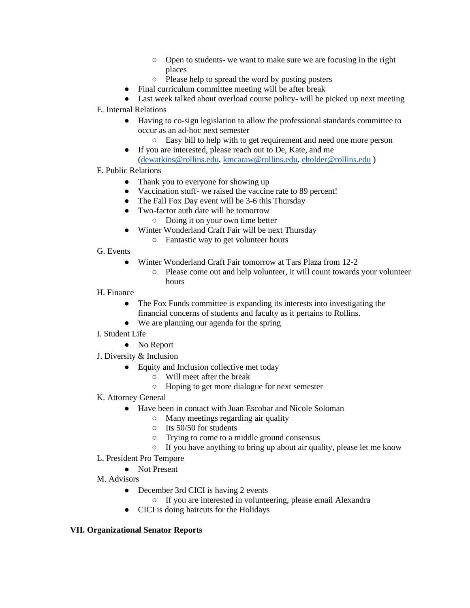- Open to students- we want to make sure we are focusing in the right places
- Please help to spread the word by posting posters
- Final curriculum committee meeting will be after break
- Last week talked about overload course policy- will be picked up next meeting
- E. Internal Relations
	- Having to co-sign legislation to allow the professional standards committee to occur as an ad-hoc next semester
		- Easy bill to help with to get requirement and need one more person
	- If you are interested, please reach out to De, Kate, and me [\(dewatkins@rollins.edu,](mailto:dewatkins@rollins.edu) [kmcaraw@rollins.edu,](mailto:kmcaraw@rollins.edu) [eholder@rollins.edu](mailto:eholder@rollins.edu) )
- F. Public Relations
	- Thank you to everyone for showing up
	- Vaccination stuff- we raised the vaccine rate to 89 percent!
	- The Fall Fox Day event will be 3-6 this Thursday
	- Two-factor auth date will be tomorrow
		- Doing it on your own time better
	- Winter Wonderland Craft Fair will be next Thursday
		- Fantastic way to get volunteer hours
- G. Events
	- Winter Wonderland Craft Fair tomorrow at Tars Plaza from 12-2
		- Please come out and help volunteer, it will count towards your volunteer hours
- H. Finance
	- The Fox Funds committee is expanding its interests into investigating the financial concerns of students and faculty as it pertains to Rollins.
	- We are planning our agenda for the spring
- I. Student Life
	- No Report
- J. Diversity & Inclusion
	- Equity and Inclusion collective met today
		- Will meet after the break
		- Hoping to get more dialogue for next semester
- K. Attorney General
	- Have been in contact with Juan Escobar and Nicole Soloman
		- Many meetings regarding air quality
		- Its 50/50 for students
		- Trying to come to a middle ground consensus
		- If you have anything to bring up about air quality, please let me know
- L. President Pro Tempore
	- Not Present
- M. Advisors
	- December 3rd CICI is having 2 events
		- If you are interested in volunteering, please email Alexandra
	- CICI is doing haircuts for the Holidays

## **VII. Organizational Senator Reports**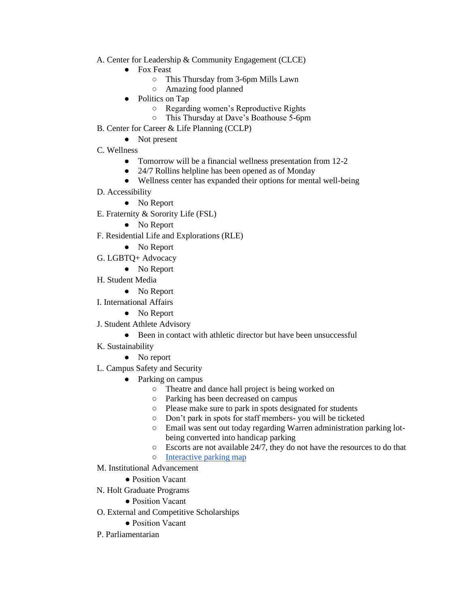- A. Center for Leadership & Community Engagement (CLCE)
	- Fox Feast
		- This Thursday from 3-6pm Mills Lawn
		- Amazing food planned
	- Politics on Tap
		- Regarding women's Reproductive Rights
		- This Thursday at Dave's Boathouse 5-6pm
- B. Center for Career & Life Planning (CCLP)
	- Not present
- C. Wellness
	- Tomorrow will be a financial wellness presentation from 12-2
	- 24/7 Rollins helpline has been opened as of Monday
	- Wellness center has expanded their options for mental well-being
- D. Accessibility
	- No Report
- E. Fraternity & Sorority Life (FSL)
	- No Report
- F. Residential Life and Explorations (RLE)
	- No Report
- G. LGBTQ+ Advocacy
	- No Report
- H. Student Media
	- No Report
- I. International Affairs
	- No Report
- J. Student Athlete Advisory
	- Been in contact with athletic director but have been unsuccessful
- K. Sustainability
	- No report
- L. Campus Safety and Security
	- Parking on campus
		- Theatre and dance hall project is being worked on
		- Parking has been decreased on campus
		- Please make sure to park in spots designated for students
		- Don't park in spots for staff members- you will be ticketed
		- Email was sent out today regarding Warren administration parking lotbeing converted into handicap parking
		- Escorts are not available 24/7, they do not have the resources to do that
		- [Interactive parking map](https://map.concept3d.com/?id=65#!ct/0,3744,7309,4400,4399,4396,3745,5148,34548,35006,46000,50291,50292,50304,50307,50314)
- M. Institutional Advancement
	- Position Vacant
- N. Holt Graduate Programs
	- Position Vacant
- O. External and Competitive Scholarships
	- Position Vacant
- P. Parliamentarian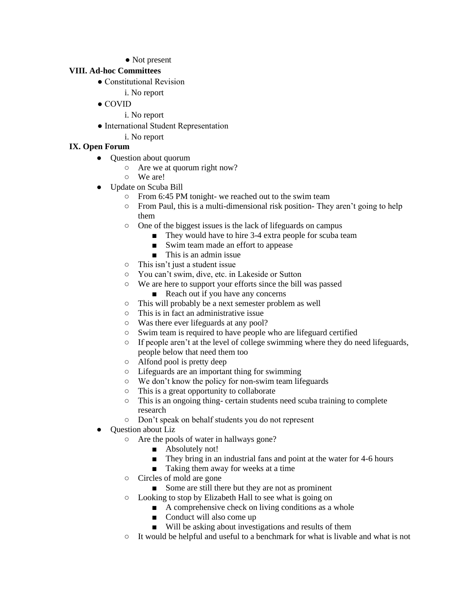• Not present

## **VIII. Ad-hoc Committees**

- Constitutional Revision
	- i. No report
- COVID
	- i. No report
- International Student Representation
	- i. No report

## **IX. Open Forum**

- Question about quorum
	- Are we at quorum right now?
	- We are!
- Update on Scuba Bill
	- From 6:45 PM tonight- we reached out to the swim team
	- $\circ$  From Paul, this is a multi-dimensional risk position- They aren't going to help them
	- One of the biggest issues is the lack of lifeguards on campus
		- They would have to hire 3-4 extra people for scuba team
		- Swim team made an effort to appease
		- This is an admin issue
	- This isn't just a student issue
	- You can't swim, dive, etc. in Lakeside or Sutton
	- We are here to support your efforts since the bill was passed
		- Reach out if you have any concerns
	- This will probably be a next semester problem as well
	- This is in fact an administrative issue
	- Was there ever lifeguards at any pool?
	- Swim team is required to have people who are lifeguard certified
	- If people aren't at the level of college swimming where they do need lifeguards, people below that need them too
	- Alfond pool is pretty deep
	- Lifeguards are an important thing for swimming
	- We don't know the policy for non-swim team lifeguards
	- This is a great opportunity to collaborate
	- This is an ongoing thing- certain students need scuba training to complete research
	- Don't speak on behalf students you do not represent
- Question about Liz
	- Are the pools of water in hallways gone?
		- Absolutely not!
		- They bring in an industrial fans and point at the water for 4-6 hours
		- Taking them away for weeks at a time
	- Circles of mold are gone
		- Some are still there but they are not as prominent
	- Looking to stop by Elizabeth Hall to see what is going on
		- $\blacksquare$  A comprehensive check on living conditions as a whole
		- Conduct will also come up
		- Will be asking about investigations and results of them
	- It would be helpful and useful to a benchmark for what is livable and what is not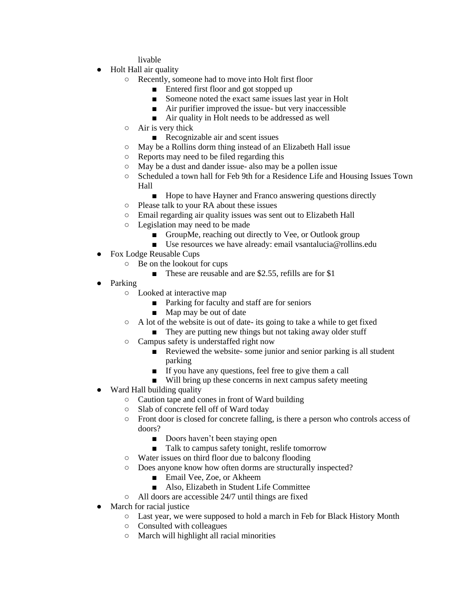livable

- Holt Hall air quality
	- Recently, someone had to move into Holt first floor
		- Entered first floor and got stopped up
		- Someone noted the exact same issues last year in Holt
		- Air purifier improved the issue- but very inaccessible
		- Air quality in Holt needs to be addressed as well
	- Air is very thick
		- Recognizable air and scent issues
	- May be a Rollins dorm thing instead of an Elizabeth Hall issue
	- Reports may need to be filed regarding this
	- May be a dust and dander issue- also may be a pollen issue
	- Scheduled a town hall for Feb 9th for a Residence Life and Housing Issues Town Hall
		- Hope to have Hayner and Franco answering questions directly
	- Please talk to your RA about these issues
	- Email regarding air quality issues was sent out to Elizabeth Hall
	- Legislation may need to be made
		- GroupMe, reaching out directly to Vee, or Outlook group
		- Use resources we have already: email vsantalucia@rollins.edu
- Fox Lodge Reusable Cups
	- Be on the lookout for cups
		- These are reusable and are \$2.55, refills are for \$1
- Parking
	- Looked at interactive map
		- Parking for faculty and staff are for seniors
		- Map may be out of date
	- A lot of the website is out of date- its going to take a while to get fixed
		- They are putting new things but not taking away older stuff
	- Campus safety is understaffed right now
		- Reviewed the website-some junior and senior parking is all student parking
		- If you have any questions, feel free to give them a call
		- Will bring up these concerns in next campus safety meeting
- Ward Hall building quality
	- Caution tape and cones in front of Ward building
	- Slab of concrete fell off of Ward today
	- Front door is closed for concrete falling, is there a person who controls access of doors?
		- Doors haven't been staying open
		- Talk to campus safety tonight, reslife tomorrow
	- Water issues on third floor due to balcony flooding
	- Does anyone know how often dorms are structurally inspected?
		- Email Vee, Zoe, or Akheem
		- Also, Elizabeth in Student Life Committee
	- All doors are accessible 24/7 until things are fixed
- March for racial justice
	- Last year, we were supposed to hold a march in Feb for Black History Month
	- Consulted with colleagues
	- March will highlight all racial minorities